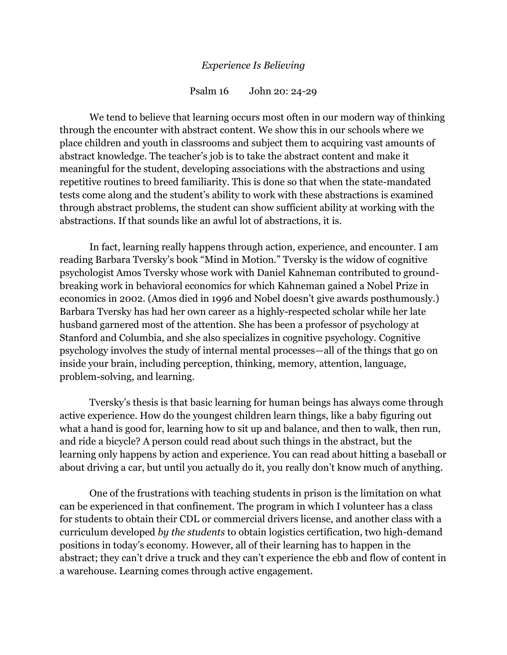## *Experience Is Believing*

Psalm 16 John 20: 24-29

We tend to believe that learning occurs most often in our modern way of thinking through the encounter with abstract content. We show this in our schools where we place children and youth in classrooms and subject them to acquiring vast amounts of abstract knowledge. The teacher's job is to take the abstract content and make it meaningful for the student, developing associations with the abstractions and using repetitive routines to breed familiarity. This is done so that when the state-mandated tests come along and the student's ability to work with these abstractions is examined through abstract problems, the student can show sufficient ability at working with the abstractions. If that sounds like an awful lot of abstractions, it is.

In fact, learning really happens through action, experience, and encounter. I am reading Barbara Tversky's book "Mind in Motion." Tversky is the widow of cognitive psychologist Amos Tversky whose work with Daniel Kahneman contributed to groundbreaking work in behavioral economics for which Kahneman gained a Nobel Prize in economics in 2002. (Amos died in 1996 and Nobel doesn't give awards posthumously.) Barbara Tversky has had her own career as a highly-respected scholar while her late husband garnered most of the attention. She has been a professor of psychology at Stanford and Columbia, and she also specializes in cognitive psychology. Cognitive psychology involves the study of internal mental processes—all of the things that go on inside your brain, including perception, thinking, memory, attention, language, problem-solving, and learning.

Tversky's thesis is that basic learning for human beings has always come through active experience. How do the youngest children learn things, like a baby figuring out what a hand is good for, learning how to sit up and balance, and then to walk, then run, and ride a bicycle? A person could read about such things in the abstract, but the learning only happens by action and experience. You can read about hitting a baseball or about driving a car, but until you actually do it, you really don't know much of anything.

One of the frustrations with teaching students in prison is the limitation on what can be experienced in that confinement. The program in which I volunteer has a class for students to obtain their CDL or commercial drivers license, and another class with a curriculum developed *by the students* to obtain logistics certification, two high-demand positions in today's economy. However, all of their learning has to happen in the abstract; they can't drive a truck and they can't experience the ebb and flow of content in a warehouse. Learning comes through active engagement.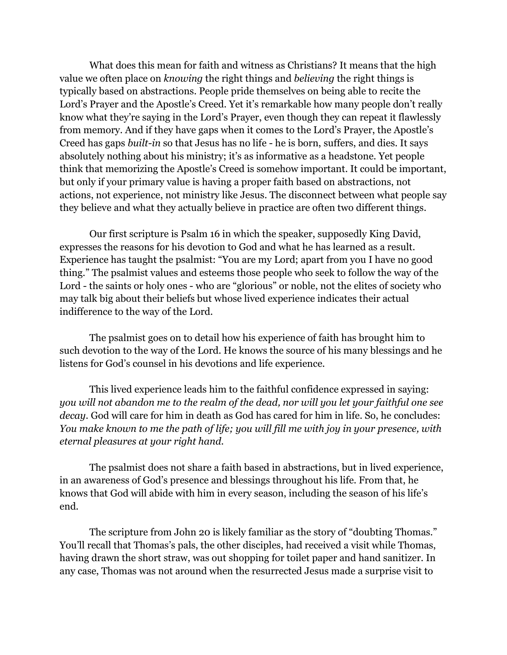What does this mean for faith and witness as Christians? It means that the high value we often place on *knowing* the right things and *believing* the right things is typically based on abstractions. People pride themselves on being able to recite the Lord's Prayer and the Apostle's Creed. Yet it's remarkable how many people don't really know what they're saying in the Lord's Prayer, even though they can repeat it flawlessly from memory. And if they have gaps when it comes to the Lord's Prayer, the Apostle's Creed has gaps *built-in* so that Jesus has no life - he is born, suffers, and dies. It says absolutely nothing about his ministry; it's as informative as a headstone. Yet people think that memorizing the Apostle's Creed is somehow important. It could be important, but only if your primary value is having a proper faith based on abstractions, not actions, not experience, not ministry like Jesus. The disconnect between what people say they believe and what they actually believe in practice are often two different things.

Our first scripture is Psalm 16 in which the speaker, supposedly King David, expresses the reasons for his devotion to God and what he has learned as a result. Experience has taught the psalmist: "You are my Lord; apart from you I have no good thing." The psalmist values and esteems those people who seek to follow the way of the Lord - the saints or holy ones - who are "glorious" or noble, not the elites of society who may talk big about their beliefs but whose lived experience indicates their actual indifference to the way of the Lord.

The psalmist goes on to detail how his experience of faith has brought him to such devotion to the way of the Lord. He knows the source of his many blessings and he listens for God's counsel in his devotions and life experience.

This lived experience leads him to the faithful confidence expressed in saying: *you will not abandon me to the realm of the dead, nor will you let your faithful one see decay*. God will care for him in death as God has cared for him in life. So, he concludes: *You make known to me the path of life; you will fill me with joy in your presence, with eternal pleasures at your right hand.*

The psalmist does not share a faith based in abstractions, but in lived experience, in an awareness of God's presence and blessings throughout his life. From that, he knows that God will abide with him in every season, including the season of his life's end.

The scripture from John 20 is likely familiar as the story of "doubting Thomas." You'll recall that Thomas's pals, the other disciples, had received a visit while Thomas, having drawn the short straw, was out shopping for toilet paper and hand sanitizer. In any case, Thomas was not around when the resurrected Jesus made a surprise visit to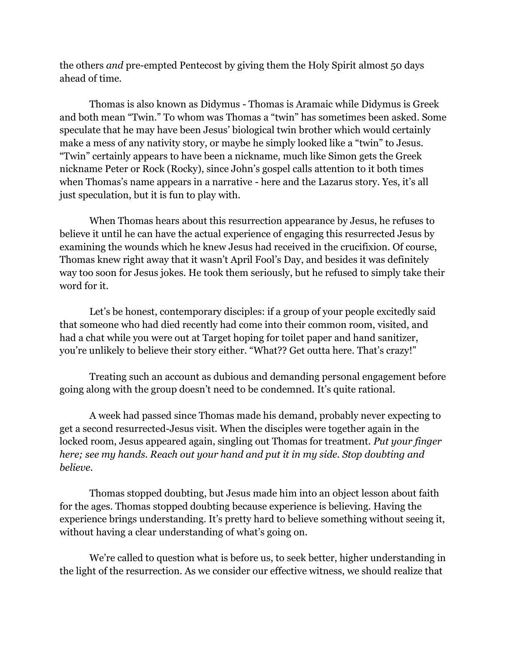the others *and* pre-empted Pentecost by giving them the Holy Spirit almost 50 days ahead of time.

Thomas is also known as Didymus - Thomas is Aramaic while Didymus is Greek and both mean "Twin." To whom was Thomas a "twin" has sometimes been asked. Some speculate that he may have been Jesus' biological twin brother which would certainly make a mess of any nativity story, or maybe he simply looked like a "twin" to Jesus. "Twin" certainly appears to have been a nickname, much like Simon gets the Greek nickname Peter or Rock (Rocky), since John's gospel calls attention to it both times when Thomas's name appears in a narrative - here and the Lazarus story. Yes, it's all just speculation, but it is fun to play with.

When Thomas hears about this resurrection appearance by Jesus, he refuses to believe it until he can have the actual experience of engaging this resurrected Jesus by examining the wounds which he knew Jesus had received in the crucifixion. Of course, Thomas knew right away that it wasn't April Fool's Day, and besides it was definitely way too soon for Jesus jokes. He took them seriously, but he refused to simply take their word for it.

Let's be honest, contemporary disciples: if a group of your people excitedly said that someone who had died recently had come into their common room, visited, and had a chat while you were out at Target hoping for toilet paper and hand sanitizer, you're unlikely to believe their story either. "What?? Get outta here. That's crazy!"

Treating such an account as dubious and demanding personal engagement before going along with the group doesn't need to be condemned. It's quite rational.

A week had passed since Thomas made his demand, probably never expecting to get a second resurrected-Jesus visit. When the disciples were together again in the locked room, Jesus appeared again, singling out Thomas for treatment. *Put your finger here; see my hands. Reach out your hand and put it in my side. Stop doubting and believe.*

Thomas stopped doubting, but Jesus made him into an object lesson about faith for the ages. Thomas stopped doubting because experience is believing. Having the experience brings understanding. It's pretty hard to believe something without seeing it, without having a clear understanding of what's going on.

We're called to question what is before us, to seek better, higher understanding in the light of the resurrection. As we consider our effective witness, we should realize that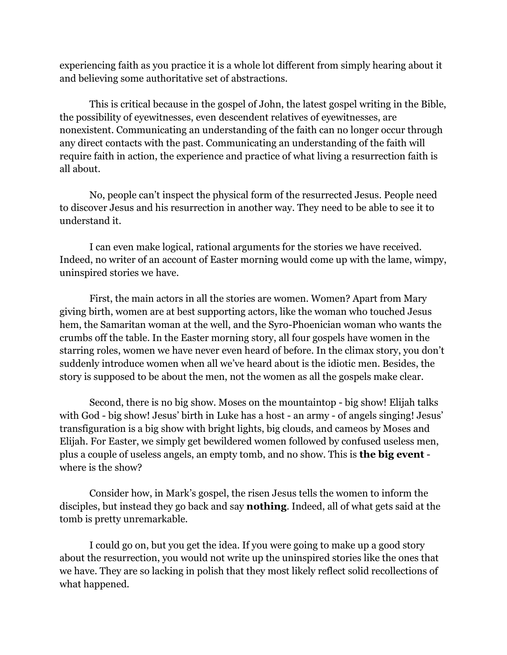experiencing faith as you practice it is a whole lot different from simply hearing about it and believing some authoritative set of abstractions.

This is critical because in the gospel of John, the latest gospel writing in the Bible, the possibility of eyewitnesses, even descendent relatives of eyewitnesses, are nonexistent. Communicating an understanding of the faith can no longer occur through any direct contacts with the past. Communicating an understanding of the faith will require faith in action, the experience and practice of what living a resurrection faith is all about.

No, people can't inspect the physical form of the resurrected Jesus. People need to discover Jesus and his resurrection in another way. They need to be able to see it to understand it.

I can even make logical, rational arguments for the stories we have received. Indeed, no writer of an account of Easter morning would come up with the lame, wimpy, uninspired stories we have.

First, the main actors in all the stories are women. Women? Apart from Mary giving birth, women are at best supporting actors, like the woman who touched Jesus hem, the Samaritan woman at the well, and the Syro-Phoenician woman who wants the crumbs off the table. In the Easter morning story, all four gospels have women in the starring roles, women we have never even heard of before. In the climax story, you don't suddenly introduce women when all we've heard about is the idiotic men. Besides, the story is supposed to be about the men, not the women as all the gospels make clear.

Second, there is no big show. Moses on the mountaintop - big show! Elijah talks with God - big show! Jesus' birth in Luke has a host - an army - of angels singing! Jesus' transfiguration is a big show with bright lights, big clouds, and cameos by Moses and Elijah. For Easter, we simply get bewildered women followed by confused useless men, plus a couple of useless angels, an empty tomb, and no show. This is **the big event** where is the show?

Consider how, in Mark's gospel, the risen Jesus tells the women to inform the disciples, but instead they go back and say **nothing**. Indeed, all of what gets said at the tomb is pretty unremarkable.

I could go on, but you get the idea. If you were going to make up a good story about the resurrection, you would not write up the uninspired stories like the ones that we have. They are so lacking in polish that they most likely reflect solid recollections of what happened.